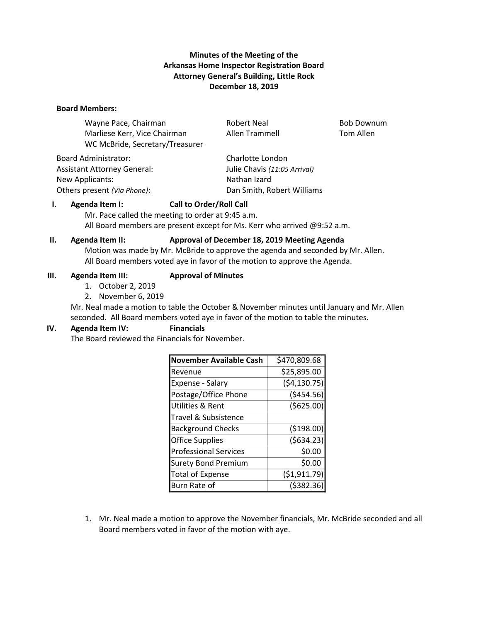# **Minutes of the Meeting of the Arkansas Home Inspector Registration Board Attorney General's Building, Little Rock December 18, 2019**

#### **Board Members:**

Wayne Pace, Chairman **Robert Neal** Bob Downum Marliese Kerr, Vice Chairman and Allen Trammell Tom Allen WC McBride, Secretary/Treasurer

Board Administrator: Charlotte London New Applicants: New Applicants: Nathan Izard

Assistant Attorney General: Julie Chavis *(11:05 Arrival)* Others present *(Via Phone)*: Dan Smith, Robert Williams

# **I. Agenda Item I: Call to Order/Roll Call**

Mr. Pace called the meeting to order at 9:45 a.m. All Board members are present except for Ms. Kerr who arrived @9:52 a.m.

### **II. Agenda Item II: Approval of December 18, 2019 Meeting Agenda**

Motion was made by Mr. McBride to approve the agenda and seconded by Mr. Allen. All Board members voted aye in favor of the motion to approve the Agenda.

#### **III. Agenda Item III: Approval of Minutes**

- 1. October 2, 2019
- 2. November 6, 2019

Mr. Neal made a motion to table the October & November minutes until January and Mr. Allen seconded. All Board members voted aye in favor of the motion to table the minutes.

### **IV. Agenda Item IV: Financials**

The Board reviewed the Financials for November.

| <b>November Available Cash</b> | \$470,809.68   |
|--------------------------------|----------------|
| Revenue                        | \$25,895.00    |
| Expense - Salary               | (54, 130.75)   |
| Postage/Office Phone           | ( \$454.56)    |
| <b>Utilities &amp; Rent</b>    | ( \$625.00)    |
| Travel & Subsistence           |                |
| <b>Background Checks</b>       | (5198.00)      |
| <b>Office Supplies</b>         | (5634.23)      |
| <b>Professional Services</b>   | \$0.00         |
| <b>Surety Bond Premium</b>     | \$0.00         |
| <b>Total of Expense</b>        | ( \$1, 911.79] |
| Burn Rate of                   | ( \$382.36     |

1. Mr. Neal made a motion to approve the November financials, Mr. McBride seconded and all Board members voted in favor of the motion with aye.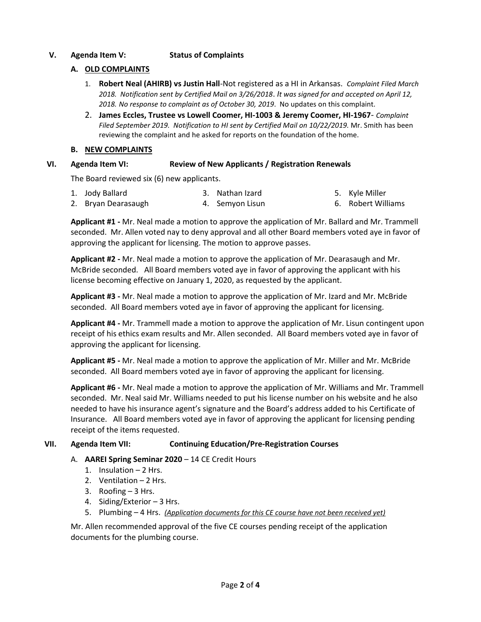## **V. Agenda Item V: Status of Complaints**

## **A. OLD COMPLAINTS**

- 1. **Robert Neal (AHIRB) vs Justin Hall**-Not registered as a HI in Arkansas. *Complaint Filed March 2018. Notification sent by Certified Mail on 3/26/2018*. *It was signed for and accepted on April 12, 2018. No response to complaint as of October 30, 2019*. No updates on this complaint.
- 2. **James Eccles, Trustee vs Lowell Coomer, HI-1003 & Jeremy Coomer, HI-1967** *Complaint Filed September 2019. Notification to HI sent by Certified Mail on 10/22/2019.* Mr. Smith has been reviewing the complaint and he asked for reports on the foundation of the home.

### **B. NEW COMPLAINTS**

## **VI. Agenda Item VI: Review of New Applicants / Registration Renewals**

The Board reviewed six (6) new applicants.

| 1. Jody Ballard     | 3. Nathan Izard | 5. Kyle Miller     |
|---------------------|-----------------|--------------------|
| 2. Bryan Dearasaugh | 4. Semyon Lisun | 6. Robert Williams |

**Applicant #1 -** Mr. Neal made a motion to approve the application of Mr. Ballard and Mr. Trammell seconded. Mr. Allen voted nay to deny approval and all other Board members voted aye in favor of approving the applicant for licensing. The motion to approve passes.

**Applicant #2 -** Mr. Neal made a motion to approve the application of Mr. Dearasaugh and Mr. McBride seconded. All Board members voted aye in favor of approving the applicant with his license becoming effective on January 1, 2020, as requested by the applicant.

**Applicant #3 -** Mr. Neal made a motion to approve the application of Mr. Izard and Mr. McBride seconded. All Board members voted aye in favor of approving the applicant for licensing.

**Applicant #4 -** Mr. Trammell made a motion to approve the application of Mr. Lisun contingent upon receipt of his ethics exam results and Mr. Allen seconded. All Board members voted aye in favor of approving the applicant for licensing.

**Applicant #5 -** Mr. Neal made a motion to approve the application of Mr. Miller and Mr. McBride seconded. All Board members voted aye in favor of approving the applicant for licensing.

**Applicant #6 -** Mr. Neal made a motion to approve the application of Mr. Williams and Mr. Trammell seconded. Mr. Neal said Mr. Williams needed to put his license number on his website and he also needed to have his insurance agent's signature and the Board's address added to his Certificate of Insurance. All Board members voted aye in favor of approving the applicant for licensing pending receipt of the items requested.

### **VII. Agenda Item VII: Continuing Education/Pre-Registration Courses**

- A. **AAREI Spring Seminar 2020** 14 CE Credit Hours
	- 1. Insulation 2 Hrs.
	- 2. Ventilation 2 Hrs.
	- 3. Roofing 3 Hrs.
	- 4. Siding/Exterior 3 Hrs.
	- 5. Plumbing 4 Hrs. *(Application documents for this CE course have not been received yet)*

Mr. Allen recommended approval of the five CE courses pending receipt of the application documents for the plumbing course.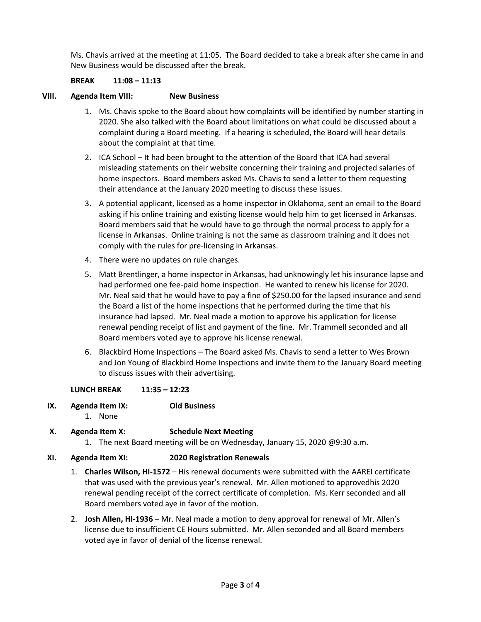Ms. Chavis arrived at the meeting at 11:05. The Board decided to take a break after she came in and New Business would be discussed after the break.

# **BREAK 11:08 – 11:13**

### **VIII. Agenda Item VIII: New Business**

- 1. Ms. Chavis spoke to the Board about how complaints will be identified by number starting in 2020. She also talked with the Board about limitations on what could be discussed about a complaint during a Board meeting. If a hearing is scheduled, the Board will hear details about the complaint at that time.
- 2. ICA School It had been brought to the attention of the Board that ICA had several misleading statements on their website concerning their training and projected salaries of home inspectors. Board members asked Ms. Chavis to send a letter to them requesting their attendance at the January 2020 meeting to discuss these issues.
- 3. A potential applicant, licensed as a home inspector in Oklahoma, sent an email to the Board asking if his online training and existing license would help him to get licensed in Arkansas. Board members said that he would have to go through the normal process to apply for a license in Arkansas. Online training is not the same as classroom training and it does not comply with the rules for pre-licensing in Arkansas.
- 4. There were no updates on rule changes.
- 5. Matt Brentlinger, a home inspector in Arkansas, had unknowingly let his insurance lapse and had performed one fee-paid home inspection. He wanted to renew his license for 2020. Mr. Neal said that he would have to pay a fine of \$250.00 for the lapsed insurance and send the Board a list of the home inspections that he performed during the time that his insurance had lapsed. Mr. Neal made a motion to approve his application for license renewal pending receipt of list and payment of the fine. Mr. Trammell seconded and all Board members voted aye to approve his license renewal.
- 6. Blackbird Home Inspections The Board asked Ms. Chavis to send a letter to Wes Brown and Jon Young of Blackbird Home Inspections and invite them to the January Board meeting to discuss issues with their advertising.

### **LUNCH BREAK 11:35 – 12:23**

- **IX. Agenda Item IX: Old Business**
	- 1. None

# **X. Agenda Item X: Schedule Next Meeting**

1. The next Board meeting will be on Wednesday, January 15, 2020 @9:30 a.m.

### **XI. Agenda Item XI: 2020 Registration Renewals**

- 1. **Charles Wilson, HI-1572** His renewal documents were submitted with the AAREI certificate that was used with the previous year's renewal. Mr. Allen motioned to approvedhis 2020 renewal pending receipt of the correct certificate of completion. Ms. Kerr seconded and all Board members voted aye in favor of the motion.
- 2. **Josh Allen, HI-1936** Mr. Neal made a motion to deny approval for renewal of Mr. Allen's license due to insufficient CE Hours submitted. Mr. Allen seconded and all Board members voted aye in favor of denial of the license renewal.